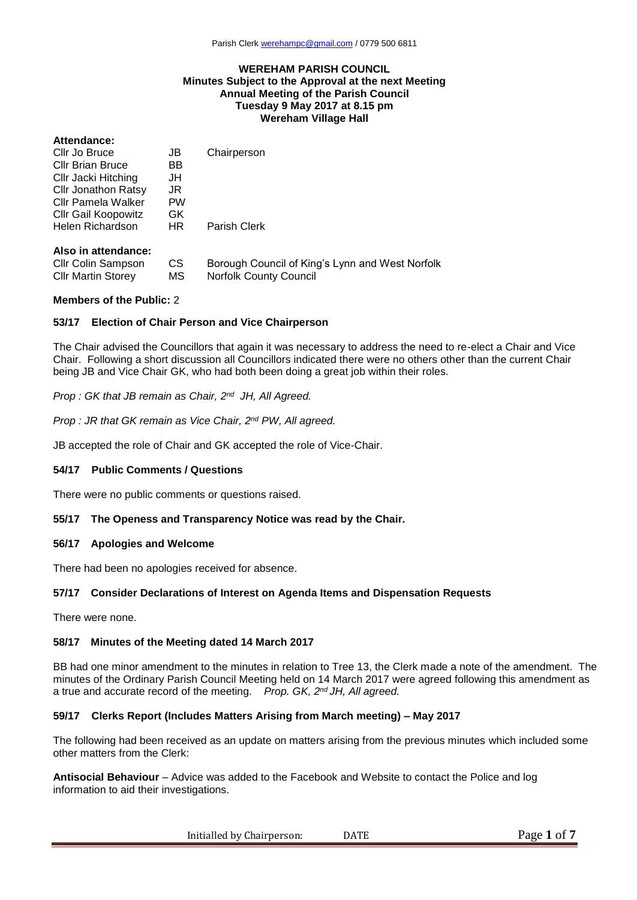#### **WEREHAM PARISH COUNCIL Minutes Subject to the Approval at the next Meeting Annual Meeting of the Parish Council Tuesday 9 May 2017 at 8.15 pm Wereham Village Hall**

### **Attendance:**

| Cllr Jo Bruce              | JB        | Chairperson                                     |
|----------------------------|-----------|-------------------------------------------------|
| <b>Cllr Brian Bruce</b>    | BB        |                                                 |
| Cllr Jacki Hitching        | JH        |                                                 |
| <b>Cllr Jonathon Ratsy</b> | JR.       |                                                 |
| Cllr Pamela Walker         | <b>PW</b> |                                                 |
| <b>CIIr Gail Koopowitz</b> | GK.       |                                                 |
| Helen Richardson           | HR.       | Parish Clerk                                    |
| Also in attendance:        |           |                                                 |
| <b>Cllr Colin Sampson</b>  | <b>CS</b> | Borough Council of King's Lynn and West Norfolk |
| <b>Cllr Martin Storey</b>  | МS        | <b>Norfolk County Council</b>                   |

#### **Members of the Public:** 2

### **53/17 Election of Chair Person and Vice Chairperson**

The Chair advised the Councillors that again it was necessary to address the need to re-elect a Chair and Vice Chair. Following a short discussion all Councillors indicated there were no others other than the current Chair being JB and Vice Chair GK, who had both been doing a great job within their roles.

*Prop : GK that JB remain as Chair, 2 nd JH, All Agreed.* 

*Prop : JR that GK remain as Vice Chair, 2 nd PW, All agreed.* 

JB accepted the role of Chair and GK accepted the role of Vice-Chair.

### **54/17 Public Comments / Questions**

There were no public comments or questions raised.

### **55/17 The Openess and Transparency Notice was read by the Chair.**

#### **56/17 Apologies and Welcome**

There had been no apologies received for absence.

### **57/17 Consider Declarations of Interest on Agenda Items and Dispensation Requests**

There were none.

### **58/17 Minutes of the Meeting dated 14 March 2017**

BB had one minor amendment to the minutes in relation to Tree 13, the Clerk made a note of the amendment. The minutes of the Ordinary Parish Council Meeting held on 14 March 2017 were agreed following this amendment as a true and accurate record of the meeting. *Prop. GK, 2 nd JH, All agreed.*

### **59/17 Clerks Report (Includes Matters Arising from March meeting) – May 2017**

The following had been received as an update on matters arising from the previous minutes which included some other matters from the Clerk:

**Antisocial Behaviour** – Advice was added to the Facebook and Website to contact the Police and log information to aid their investigations.

Initialled by Chairperson: DATE Page 1 of 7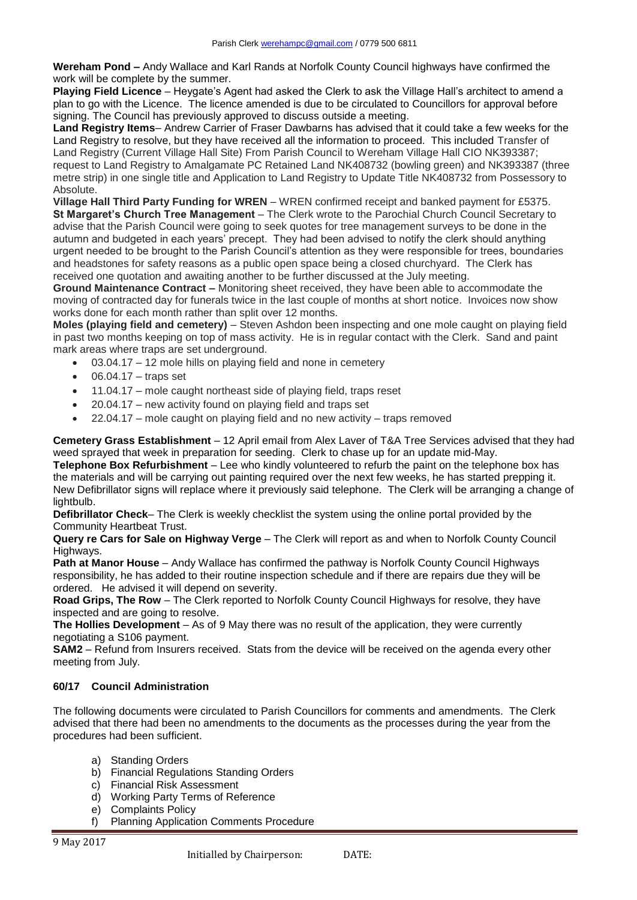**Wereham Pond –** Andy Wallace and Karl Rands at Norfolk County Council highways have confirmed the work will be complete by the summer.

**Playing Field Licence** – Heygate's Agent had asked the Clerk to ask the Village Hall's architect to amend a plan to go with the Licence. The licence amended is due to be circulated to Councillors for approval before signing. The Council has previously approved to discuss outside a meeting.

**Land Registry Items**– Andrew Carrier of Fraser Dawbarns has advised that it could take a few weeks for the Land Registry to resolve, but they have received all the information to proceed. This included Transfer of Land Registry (Current Village Hall Site) From Parish Council to Wereham Village Hall CIO NK393387; request to Land Registry to Amalgamate PC Retained Land NK408732 (bowling green) and NK393387 (three metre strip) in one single title and Application to Land Registry to Update Title NK408732 from Possessory to Absolute.

**Village Hall Third Party Funding for WREN** – WREN confirmed receipt and banked payment for £5375. **St Margaret's Church Tree Management** – The Clerk wrote to the Parochial Church Council Secretary to advise that the Parish Council were going to seek quotes for tree management surveys to be done in the autumn and budgeted in each years' precept. They had been advised to notify the clerk should anything urgent needed to be brought to the Parish Council's attention as they were responsible for trees, boundaries and headstones for safety reasons as a public open space being a closed churchyard. The Clerk has received one quotation and awaiting another to be further discussed at the July meeting.

**Ground Maintenance Contract –** Monitoring sheet received, they have been able to accommodate the moving of contracted day for funerals twice in the last couple of months at short notice. Invoices now show works done for each month rather than split over 12 months.

**Moles (playing field and cemetery)** – Steven Ashdon been inspecting and one mole caught on playing field in past two months keeping on top of mass activity. He is in regular contact with the Clerk. Sand and paint mark areas where traps are set underground.

- 03.04.17 12 mole hills on playing field and none in cemetery
- $\bullet$  06.04.17 traps set
- 11.04.17 mole caught northeast side of playing field, traps reset
- 20.04.17 new activity found on playing field and traps set
- 22.04.17 mole caught on playing field and no new activity traps removed

**Cemetery Grass Establishment** – 12 April email from Alex Laver of T&A Tree Services advised that they had weed sprayed that week in preparation for seeding. Clerk to chase up for an update mid-May.

**Telephone Box Refurbishment** – Lee who kindly volunteered to refurb the paint on the telephone box has the materials and will be carrying out painting required over the next few weeks, he has started prepping it. New Defibrillator signs will replace where it previously said telephone. The Clerk will be arranging a change of lightbulb.

**Defibrillator Check**– The Clerk is weekly checklist the system using the online portal provided by the Community Heartbeat Trust.

**Query re Cars for Sale on Highway Verge** – The Clerk will report as and when to Norfolk County Council Highways.

**Path at Manor House** – Andy Wallace has confirmed the pathway is Norfolk County Council Highways responsibility, he has added to their routine inspection schedule and if there are repairs due they will be ordered. He advised it will depend on severity.

**Road Grips, The Row** – The Clerk reported to Norfolk County Council Highways for resolve, they have inspected and are going to resolve.

**The Hollies Development** – As of 9 May there was no result of the application, they were currently negotiating a S106 payment.

**SAM2** – Refund from Insurers received. Stats from the device will be received on the agenda every other meeting from July.

# **60/17 Council Administration**

The following documents were circulated to Parish Councillors for comments and amendments. The Clerk advised that there had been no amendments to the documents as the processes during the year from the procedures had been sufficient.

- a) Standing Orders
- b) Financial Regulations Standing Orders
- c) Financial Risk Assessment
- d) Working Party Terms of Reference
- e) Complaints Policy
- f) Planning Application Comments Procedure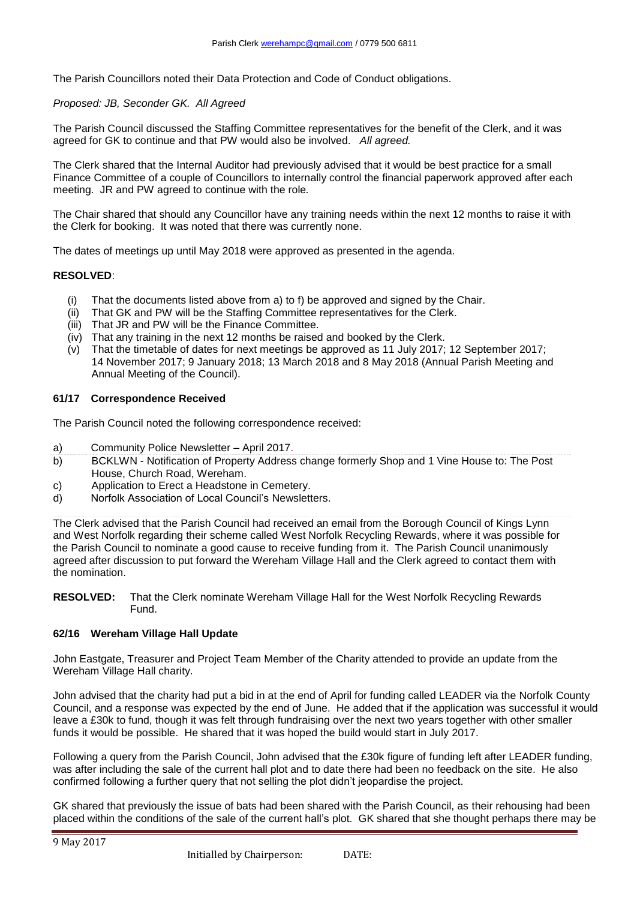The Parish Councillors noted their Data Protection and Code of Conduct obligations.

## *Proposed: JB, Seconder GK. All Agreed*

The Parish Council discussed the Staffing Committee representatives for the benefit of the Clerk, and it was agreed for GK to continue and that PW would also be involved. *All agreed.*

The Clerk shared that the Internal Auditor had previously advised that it would be best practice for a small Finance Committee of a couple of Councillors to internally control the financial paperwork approved after each meeting. JR and PW agreed to continue with the role*.*

The Chair shared that should any Councillor have any training needs within the next 12 months to raise it with the Clerk for booking. It was noted that there was currently none.

The dates of meetings up until May 2018 were approved as presented in the agenda.

### **RESOLVED**:

- (i) That the documents listed above from a) to f) be approved and signed by the Chair.
- (ii) That GK and PW will be the Staffing Committee representatives for the Clerk.
- (iii) That JR and PW will be the Finance Committee.
- (iv) That any training in the next 12 months be raised and booked by the Clerk.
- (v) That the timetable of dates for next meetings be approved as 11 July 2017; 12 September 2017; 14 November 2017; 9 January 2018; 13 March 2018 and 8 May 2018 (Annual Parish Meeting and Annual Meeting of the Council).

## **61/17 Correspondence Received**

The Parish Council noted the following correspondence received:

- a) Community Police Newsletter April 2017.
- b) BCKLWN Notification of Property Address change formerly Shop and 1 Vine House to: The Post House, Church Road, Wereham.
- c) Application to Erect a Headstone in Cemetery.
- d) Norfolk Association of Local Council's Newsletters.

The Clerk advised that the Parish Council had received an email from the Borough Council of Kings Lynn and West Norfolk regarding their scheme called West Norfolk Recycling Rewards, where it was possible for the Parish Council to nominate a good cause to receive funding from it. The Parish Council unanimously agreed after discussion to put forward the Wereham Village Hall and the Clerk agreed to contact them with the nomination.

**RESOLVED:** That the Clerk nominate Wereham Village Hall for the West Norfolk Recycling Rewards Fund.

### **62/16 Wereham Village Hall Update**

John Eastgate, Treasurer and Project Team Member of the Charity attended to provide an update from the Wereham Village Hall charity.

John advised that the charity had put a bid in at the end of April for funding called LEADER via the Norfolk County Council, and a response was expected by the end of June. He added that if the application was successful it would leave a £30k to fund, though it was felt through fundraising over the next two years together with other smaller funds it would be possible. He shared that it was hoped the build would start in July 2017.

Following a query from the Parish Council, John advised that the £30k figure of funding left after LEADER funding, was after including the sale of the current hall plot and to date there had been no feedback on the site. He also confirmed following a further query that not selling the plot didn't jeopardise the project.

GK shared that previously the issue of bats had been shared with the Parish Council, as their rehousing had been placed within the conditions of the sale of the current hall's plot. GK shared that she thought perhaps there may be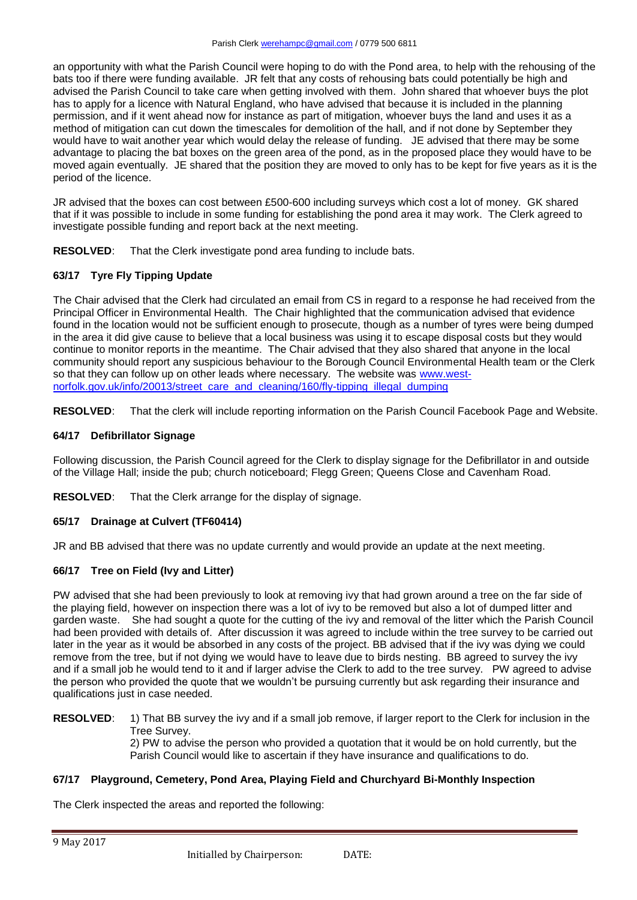an opportunity with what the Parish Council were hoping to do with the Pond area, to help with the rehousing of the bats too if there were funding available. JR felt that any costs of rehousing bats could potentially be high and advised the Parish Council to take care when getting involved with them. John shared that whoever buys the plot has to apply for a licence with Natural England, who have advised that because it is included in the planning permission, and if it went ahead now for instance as part of mitigation, whoever buys the land and uses it as a method of mitigation can cut down the timescales for demolition of the hall, and if not done by September they would have to wait another year which would delay the release of funding. JE advised that there may be some advantage to placing the bat boxes on the green area of the pond, as in the proposed place they would have to be moved again eventually. JE shared that the position they are moved to only has to be kept for five years as it is the period of the licence.

JR advised that the boxes can cost between £500-600 including surveys which cost a lot of money. GK shared that if it was possible to include in some funding for establishing the pond area it may work. The Clerk agreed to investigate possible funding and report back at the next meeting.

**RESOLVED**: That the Clerk investigate pond area funding to include bats.

# **63/17 Tyre Fly Tipping Update**

The Chair advised that the Clerk had circulated an email from CS in regard to a response he had received from the Principal Officer in Environmental Health. The Chair highlighted that the communication advised that evidence found in the location would not be sufficient enough to prosecute, though as a number of tyres were being dumped in the area it did give cause to believe that a local business was using it to escape disposal costs but they would continue to monitor reports in the meantime. The Chair advised that they also shared that anyone in the local community should report any suspicious behaviour to the Borough Council Environmental Health team or the Clerk so that they can follow up on other leads where necessary. The website was [www.west](http://www.west-norfolk.gov.uk/info/20013/street_care_and_cleaning/160/fly-tipping_illegal_dumping)[norfolk.gov.uk/info/20013/street\\_care\\_and\\_cleaning/160/fly-tipping\\_illegal\\_dumping](http://www.west-norfolk.gov.uk/info/20013/street_care_and_cleaning/160/fly-tipping_illegal_dumping)

**RESOLVED**: That the clerk will include reporting information on the Parish Council Facebook Page and Website.

## **64/17 Defibrillator Signage**

Following discussion, the Parish Council agreed for the Clerk to display signage for the Defibrillator in and outside of the Village Hall; inside the pub; church noticeboard; Flegg Green; Queens Close and Cavenham Road.

**RESOLVED**: That the Clerk arrange for the display of signage.

## **65/17 Drainage at Culvert (TF60414)**

JR and BB advised that there was no update currently and would provide an update at the next meeting.

## **66/17 Tree on Field (Ivy and Litter)**

PW advised that she had been previously to look at removing ivy that had grown around a tree on the far side of the playing field, however on inspection there was a lot of ivy to be removed but also a lot of dumped litter and garden waste. She had sought a quote for the cutting of the ivy and removal of the litter which the Parish Council had been provided with details of. After discussion it was agreed to include within the tree survey to be carried out later in the year as it would be absorbed in any costs of the project. BB advised that if the ivy was dying we could remove from the tree, but if not dying we would have to leave due to birds nesting. BB agreed to survey the ivy and if a small job he would tend to it and if larger advise the Clerk to add to the tree survey. PW agreed to advise the person who provided the quote that we wouldn't be pursuing currently but ask regarding their insurance and qualifications just in case needed.

**RESOLVED:** 1) That BB survey the ivy and if a small job remove, if larger report to the Clerk for inclusion in the Tree Survey.

2) PW to advise the person who provided a quotation that it would be on hold currently, but the Parish Council would like to ascertain if they have insurance and qualifications to do.

## **67/17 Playground, Cemetery, Pond Area, Playing Field and Churchyard Bi-Monthly Inspection**

The Clerk inspected the areas and reported the following: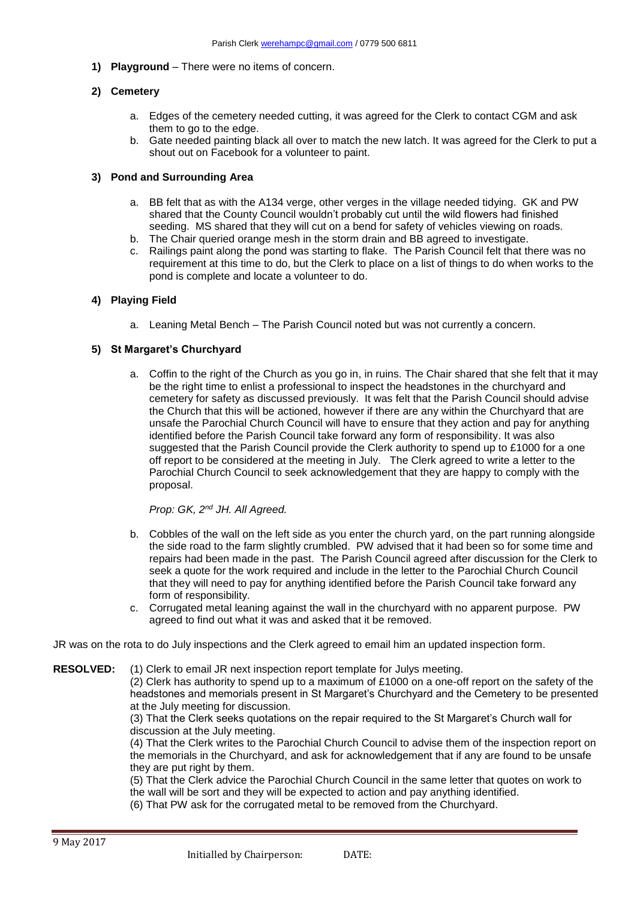**1) Playground** – There were no items of concern.

## **2) Cemetery**

- a. Edges of the cemetery needed cutting, it was agreed for the Clerk to contact CGM and ask them to go to the edge.
- b. Gate needed painting black all over to match the new latch. It was agreed for the Clerk to put a shout out on Facebook for a volunteer to paint.

## **3) Pond and Surrounding Area**

- a. BB felt that as with the A134 verge, other verges in the village needed tidying. GK and PW shared that the County Council wouldn't probably cut until the wild flowers had finished seeding. MS shared that they will cut on a bend for safety of vehicles viewing on roads.
- b. The Chair queried orange mesh in the storm drain and BB agreed to investigate.
- c. Railings paint along the pond was starting to flake. The Parish Council felt that there was no requirement at this time to do, but the Clerk to place on a list of things to do when works to the pond is complete and locate a volunteer to do.

## **4) Playing Field**

a. Leaning Metal Bench – The Parish Council noted but was not currently a concern.

## **5) St Margaret's Churchyard**

a. Coffin to the right of the Church as you go in, in ruins. The Chair shared that she felt that it may be the right time to enlist a professional to inspect the headstones in the churchyard and cemetery for safety as discussed previously. It was felt that the Parish Council should advise the Church that this will be actioned, however if there are any within the Churchyard that are unsafe the Parochial Church Council will have to ensure that they action and pay for anything identified before the Parish Council take forward any form of responsibility. It was also suggested that the Parish Council provide the Clerk authority to spend up to £1000 for a one off report to be considered at the meeting in July. The Clerk agreed to write a letter to the Parochial Church Council to seek acknowledgement that they are happy to comply with the proposal.

## *Prop: GK, 2nd JH. All Agreed.*

- b. Cobbles of the wall on the left side as you enter the church yard, on the part running alongside the side road to the farm slightly crumbled. PW advised that it had been so for some time and repairs had been made in the past. The Parish Council agreed after discussion for the Clerk to seek a quote for the work required and include in the letter to the Parochial Church Council that they will need to pay for anything identified before the Parish Council take forward any form of responsibility.
- c. Corrugated metal leaning against the wall in the churchyard with no apparent purpose. PW agreed to find out what it was and asked that it be removed.

JR was on the rota to do July inspections and the Clerk agreed to email him an updated inspection form.

**RESOLVED:** (1) Clerk to email JR next inspection report template for Julys meeting.

(2) Clerk has authority to spend up to a maximum of £1000 on a one-off report on the safety of the headstones and memorials present in St Margaret's Churchyard and the Cemetery to be presented at the July meeting for discussion.

(3) That the Clerk seeks quotations on the repair required to the St Margaret's Church wall for discussion at the July meeting.

(4) That the Clerk writes to the Parochial Church Council to advise them of the inspection report on the memorials in the Churchyard, and ask for acknowledgement that if any are found to be unsafe they are put right by them.

(5) That the Clerk advice the Parochial Church Council in the same letter that quotes on work to the wall will be sort and they will be expected to action and pay anything identified.

(6) That PW ask for the corrugated metal to be removed from the Churchyard.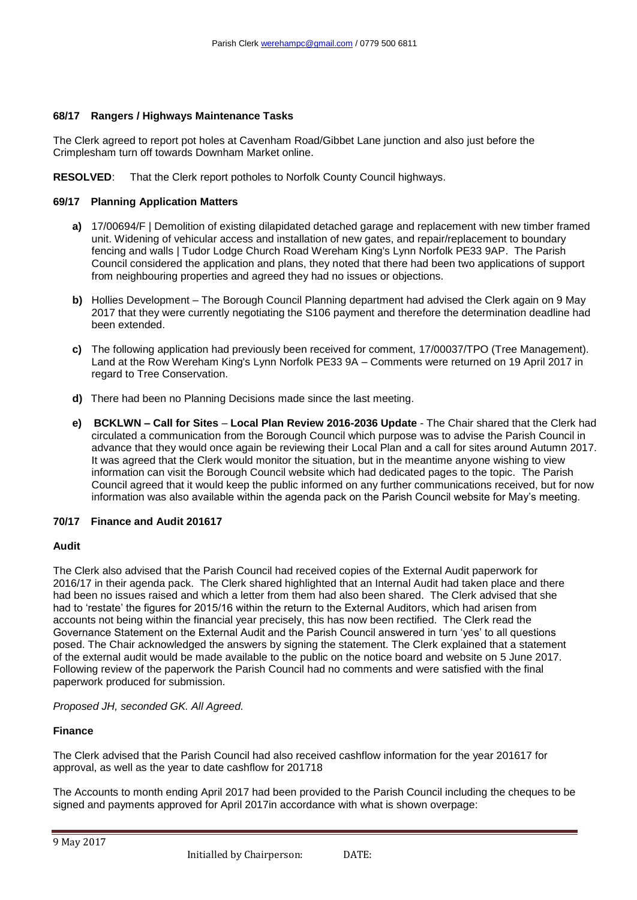## **68/17 Rangers / Highways Maintenance Tasks**

The Clerk agreed to report pot holes at Cavenham Road/Gibbet Lane junction and also just before the Crimplesham turn off towards Downham Market online.

**RESOLVED**: That the Clerk report potholes to Norfolk County Council highways.

### **69/17 Planning Application Matters**

- **a)** 17/00694/F | Demolition of existing dilapidated detached garage and replacement with new timber framed unit. Widening of vehicular access and installation of new gates, and repair/replacement to boundary fencing and walls | Tudor Lodge Church Road Wereham King's Lynn Norfolk PE33 9AP. The Parish Council considered the application and plans, they noted that there had been two applications of support from neighbouring properties and agreed they had no issues or objections.
- **b)** Hollies Development The Borough Council Planning department had advised the Clerk again on 9 May 2017 that they were currently negotiating the S106 payment and therefore the determination deadline had been extended.
- **c)** The following application had previously been received for comment, 17/00037/TPO (Tree Management). Land at the Row Wereham King's Lynn Norfolk PE33 9A – Comments were returned on 19 April 2017 in regard to Tree Conservation.
- **d)** There had been no Planning Decisions made since the last meeting.
- **e) BCKLWN – Call for Sites Local Plan Review 2016-2036 Update** The Chair shared that the Clerk had circulated a communication from the Borough Council which purpose was to advise the Parish Council in advance that they would once again be reviewing their Local Plan and a call for sites around Autumn 2017. It was agreed that the Clerk would monitor the situation, but in the meantime anyone wishing to view information can visit the Borough Council website which had dedicated pages to the topic. The Parish Council agreed that it would keep the public informed on any further communications received, but for now information was also available within the agenda pack on the Parish Council website for May's meeting.

## **70/17 Finance and Audit 201617**

## **Audit**

The Clerk also advised that the Parish Council had received copies of the External Audit paperwork for 2016/17 in their agenda pack. The Clerk shared highlighted that an Internal Audit had taken place and there had been no issues raised and which a letter from them had also been shared. The Clerk advised that she had to 'restate' the figures for 2015/16 within the return to the External Auditors, which had arisen from accounts not being within the financial year precisely, this has now been rectified. The Clerk read the Governance Statement on the External Audit and the Parish Council answered in turn 'yes' to all questions posed. The Chair acknowledged the answers by signing the statement. The Clerk explained that a statement of the external audit would be made available to the public on the notice board and website on 5 June 2017. Following review of the paperwork the Parish Council had no comments and were satisfied with the final paperwork produced for submission.

## *Proposed JH, seconded GK. All Agreed.*

## **Finance**

The Clerk advised that the Parish Council had also received cashflow information for the year 201617 for approval, as well as the year to date cashflow for 201718

The Accounts to month ending April 2017 had been provided to the Parish Council including the cheques to be signed and payments approved for April 2017in accordance with what is shown overpage: